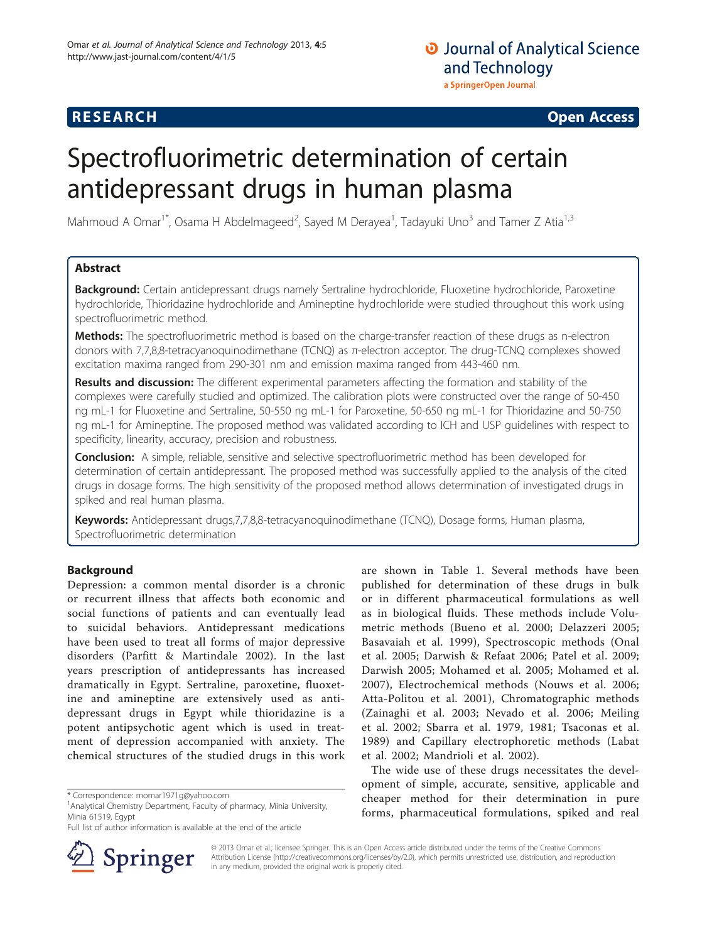## **RESEARCH RESEARCH CONSUMING ACCESS**

# Spectrofluorimetric determination of certain antidepressant drugs in human plasma

Mahmoud A Omar<sup>1\*</sup>, Osama H Abdelmageed<sup>2</sup>, Sayed M Derayea<sup>1</sup>, Tadayuki Uno<sup>3</sup> and Tamer Z Atia<sup>1,3</sup>

## Abstract

Background: Certain antidepressant drugs namely Sertraline hydrochloride, Fluoxetine hydrochloride, Paroxetine hydrochloride, Thioridazine hydrochloride and Amineptine hydrochloride were studied throughout this work using spectrofluorimetric method.

Methods: The spectrofluorimetric method is based on the charge-transfer reaction of these drugs as n-electron donors with 7,7,8,8-tetracyanoquinodimethane (TCNQ) as π-electron acceptor. The drug-TCNQ complexes showed excitation maxima ranged from 290-301 nm and emission maxima ranged from 443-460 nm.

Results and discussion: The different experimental parameters affecting the formation and stability of the complexes were carefully studied and optimized. The calibration plots were constructed over the range of 50-450 ng mL-1 for Fluoxetine and Sertraline, 50-550 ng mL-1 for Paroxetine, 50-650 ng mL-1 for Thioridazine and 50-750 ng mL-1 for Amineptine. The proposed method was validated according to ICH and USP guidelines with respect to specificity, linearity, accuracy, precision and robustness.

**Conclusion:** A simple, reliable, sensitive and selective spectrofluorimetric method has been developed for determination of certain antidepressant. The proposed method was successfully applied to the analysis of the cited drugs in dosage forms. The high sensitivity of the proposed method allows determination of investigated drugs in spiked and real human plasma.

Keywords: Antidepressant drugs, 7, 7, 8,8-tetracyanoquinodimethane (TCNQ), Dosage forms, Human plasma, Spectrofluorimetric determination

## Background

Depression: a common mental disorder is a chronic or recurrent illness that affects both economic and social functions of patients and can eventually lead to suicidal behaviors. Antidepressant medications have been used to treat all forms of major depressive disorders (Parfitt & Martindale [2002](#page-9-0)). In the last years prescription of antidepressants has increased dramatically in Egypt. Sertraline, paroxetine, fluoxetine and amineptine are extensively used as antidepressant drugs in Egypt while thioridazine is a potent antipsychotic agent which is used in treatment of depression accompanied with anxiety. The chemical structures of the studied drugs in this work

Full list of author information is available at the end of the article



are shown in Table [1.](#page-1-0) Several methods have been published for determination of these drugs in bulk or in different pharmaceutical formulations as well as in biological fluids. These methods include Volumetric methods (Bueno et al. [2000;](#page-8-0) Delazzeri [2005](#page-8-0); Basavaiah et al. [1999\)](#page-8-0), Spectroscopic methods (Onal et al. [2005;](#page-8-0) Darwish & Refaat [2006;](#page-8-0) Patel et al. [2009](#page-9-0); Darwish [2005](#page-8-0); Mohamed et al. [2005;](#page-8-0) Mohamed et al. [2007](#page-8-0)), Electrochemical methods (Nouws et al. [2006](#page-8-0); Atta-Politou et al. [2001](#page-8-0)), Chromatographic methods (Zainaghi et al. [2003](#page-9-0); Nevado et al. [2006;](#page-8-0) Meiling et al. [2002](#page-8-0); Sbarra et al. [1979, 1981](#page-9-0); Tsaconas et al. [1989](#page-9-0)) and Capillary electrophoretic methods (Labat et al. [2002;](#page-8-0) Mandrioli et al. [2002\)](#page-8-0).

The wide use of these drugs necessitates the development of simple, accurate, sensitive, applicable and cheaper method for their determination in pure forms, pharmaceutical formulations, spiked and real

© 2013 Omar et al.; licensee Springer. This is an Open Access article distributed under the terms of the Creative Commons Attribution License [\(http://creativecommons.org/licenses/by/2.0\)](http://creativecommons.org/licenses/by/2.0), which permits unrestricted use, distribution, and reproduction in any medium, provided the original work is properly cited.

<sup>\*</sup> Correspondence: [momar1971g@yahoo.com](mailto:momar1971g@yahoo.com) <sup>1</sup>

<sup>&</sup>lt;sup>1</sup> Analytical Chemistry Department, Faculty of pharmacy, Minia University, Minia 61519, Egypt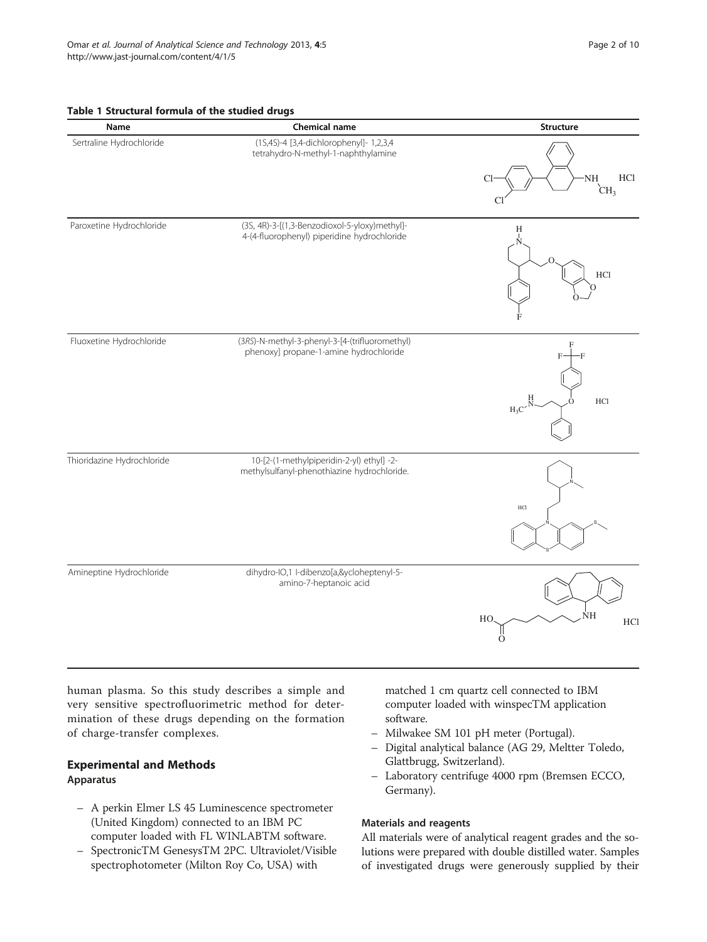| Name                       | Chemical name                                                                                | Structure                                                                            |
|----------------------------|----------------------------------------------------------------------------------------------|--------------------------------------------------------------------------------------|
| Sertraline Hydrochloride   | (1S,4S)-4 [3,4-dichlorophenyl]- 1,2,3,4<br>tetrahydro-N-methyl-1-naphthylamine               | <b>HCl</b><br>'NH<br>C.<br>CH <sub>3</sub><br>C                                      |
| Paroxetine Hydrochloride   | (3S, 4R)-3-[(1,3-Benzodioxol-5-yloxy)methyl]-<br>4-(4-fluorophenyl) piperidine hydrochloride | Η<br>HCl                                                                             |
| Fluoxetine Hydrochloride   | (3RS)-N-methyl-3-phenyl-3-[4-(trifluoromethyl)<br>phenoxy] propane-1-amine hydrochloride     | F<br>-F<br>$F -$<br>$\underset{\text{H}_3\text{C}}{\overset{\text{H}}{\sum}}$<br>HCl |
| Thioridazine Hydrochloride | 10-[2-(1-methylpiperidin-2-yl) ethyl] -2-<br>methylsulfanyl-phenothiazine hydrochloride.     | HC1                                                                                  |
| Amineptine Hydrochloride   | dihydro-IO,1 I-dibenzo[a,&ycloheptenyl-5-<br>amino-7-heptanoic acid                          | NH<br>HO.<br>HCl<br>O                                                                |

## <span id="page-1-0"></span>Table 1 Structural formula of the studied drugs

human plasma. So this study describes a simple and very sensitive spectrofluorimetric method for determination of these drugs depending on the formation of charge-transfer complexes.

## Experimental and Methods Apparatus

- A perkin Elmer LS 45 Luminescence spectrometer (United Kingdom) connected to an IBM PC computer loaded with FL WINLABTM software.
- SpectronicTM GenesysTM 2PC. Ultraviolet/Visible spectrophotometer (Milton Roy Co, USA) with

matched 1 cm quartz cell connected to IBM computer loaded with winspecTM application software.

- Milwakee SM 101 pH meter (Portugal).
- Digital analytical balance (AG 29, Meltter Toledo, Glattbrugg, Switzerland).
- Laboratory centrifuge 4000 rpm (Bremsen ECCO, Germany).

## Materials and reagents

All materials were of analytical reagent grades and the solutions were prepared with double distilled water. Samples of investigated drugs were generously supplied by their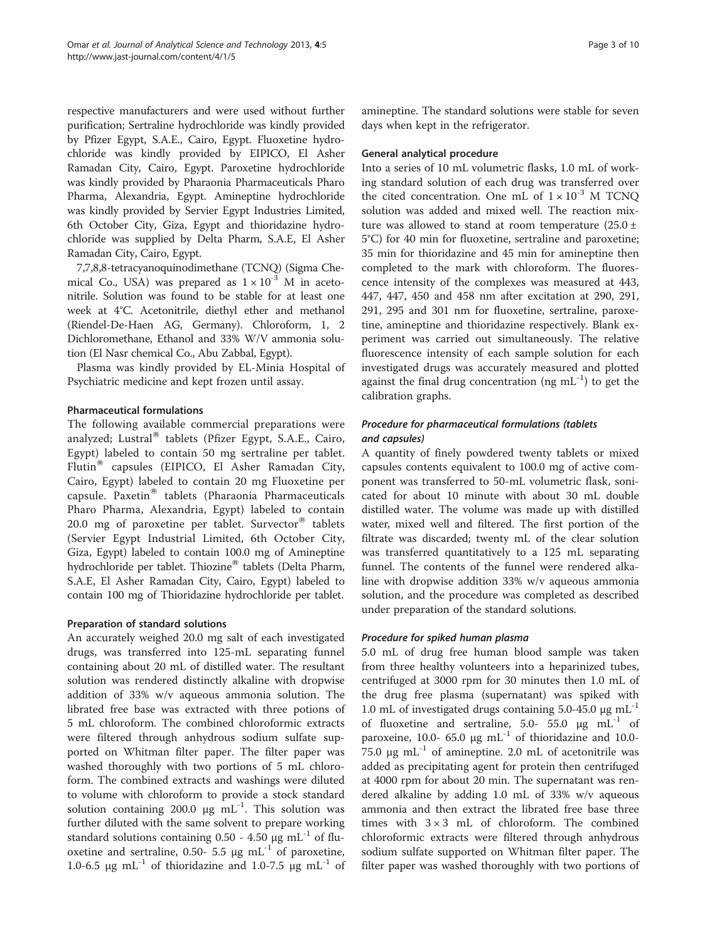respective manufacturers and were used without further purification; Sertraline hydrochloride was kindly provided by Pfizer Egypt, S.A.E., Cairo, Egypt. Fluoxetine hydrochloride was kindly provided by EIPICO, El Asher Ramadan City, Cairo, Egypt. Paroxetine hydrochloride was kindly provided by Pharaonia Pharmaceuticals Pharo Pharma, Alexandria, Egypt. Amineptine hydrochloride was kindly provided by Servier Egypt Industries Limited, 6th October City, Giza, Egypt and thioridazine hydrochloride was supplied by Delta Pharm, S.A.E, El Asher Ramadan City, Cairo, Egypt.

7,7,8,8-tetracyanoquinodimethane (TCNQ) (Sigma Chemical Co., USA) was prepared as  $1 \times 10^{-3}$  M in acetonitrile. Solution was found to be stable for at least one week at 4°C. Acetonitrile, diethyl ether and methanol (Riendel-De-Haen AG, Germany). Chloroform, 1, 2 Dichloromethane, Ethanol and 33% W/V ammonia solution (El Nasr chemical Co., Abu Zabbal, Egypt).

Plasma was kindly provided by EL-Minia Hospital of Psychiatric medicine and kept frozen until assay.

## Pharmaceutical formulations

The following available commercial preparations were analyzed; Lustral<sup>®</sup> tablets (Pfizer Egypt, S.A.E., Cairo, Egypt) labeled to contain 50 mg sertraline per tablet. Flutin<sup>®</sup> capsules (EIPICO, El Asher Ramadan City, Cairo, Egypt) labeled to contain 20 mg Fluoxetine per capsule. Paxetin<sup>®</sup> tablets (Pharaonia Pharmaceuticals Pharo Pharma, Alexandria, Egypt) labeled to contain 20.0 mg of paroxetine per tablet. Survector<sup>®</sup> tablets (Servier Egypt Industrial Limited, 6th October City, Giza, Egypt) labeled to contain 100.0 mg of Amineptine hydrochloride per tablet. Thiozine® tablets (Delta Pharm, S.A.E, El Asher Ramadan City, Cairo, Egypt) labeled to contain 100 mg of Thioridazine hydrochloride per tablet.

#### Preparation of standard solutions

An accurately weighed 20.0 mg salt of each investigated drugs, was transferred into 125-mL separating funnel containing about 20 mL of distilled water. The resultant solution was rendered distinctly alkaline with dropwise addition of 33% w/v aqueous ammonia solution. The librated free base was extracted with three potions of 5 mL chloroform. The combined chloroformic extracts were filtered through anhydrous sodium sulfate supported on Whitman filter paper. The filter paper was washed thoroughly with two portions of 5 mL chloroform. The combined extracts and washings were diluted to volume with chloroform to provide a stock standard solution containing 200.0  $\mu$ g mL<sup>-1</sup>. This solution was further diluted with the same solvent to prepare working standard solutions containing  $0.50 - 4.50 \mu g \text{ mL}^{-1}$  of fluoxetine and sertraline, 0.50- 5.5  $\mu$ g mL<sup>-1</sup> of paroxetine, 1.0-6.5 μg mL<sup>-1</sup> of thioridazine and 1.0-7.5 μg mL<sup>-1</sup> of amineptine. The standard solutions were stable for seven days when kept in the refrigerator.

## General analytical procedure

Into a series of 10 mL volumetric flasks, 1.0 mL of working standard solution of each drug was transferred over the cited concentration. One mL of  $1 \times 10^{-3}$  M TCNO solution was added and mixed well. The reaction mixture was allowed to stand at room temperature  $(25.0 \pm 1)$ 5°C) for 40 min for fluoxetine, sertraline and paroxetine; 35 min for thioridazine and 45 min for amineptine then completed to the mark with chloroform. The fluorescence intensity of the complexes was measured at 443, 447, 447, 450 and 458 nm after excitation at 290, 291, 291, 295 and 301 nm for fluoxetine, sertraline, paroxetine, amineptine and thioridazine respectively. Blank experiment was carried out simultaneously. The relative fluorescence intensity of each sample solution for each investigated drugs was accurately measured and plotted against the final drug concentration (ng  $mL^{-1}$ ) to get the calibration graphs.

## Procedure for pharmaceutical formulations (tablets and capsules)

A quantity of finely powdered twenty tablets or mixed capsules contents equivalent to 100.0 mg of active component was transferred to 50-mL volumetric flask, sonicated for about 10 minute with about 30 mL double distilled water. The volume was made up with distilled water, mixed well and filtered. The first portion of the filtrate was discarded; twenty mL of the clear solution was transferred quantitatively to a 125 mL separating funnel. The contents of the funnel were rendered alkaline with dropwise addition 33% w/v aqueous ammonia solution, and the procedure was completed as described under preparation of the standard solutions.

## Procedure for spiked human plasma

5.0 mL of drug free human blood sample was taken from three healthy volunteers into a heparinized tubes, centrifuged at 3000 rpm for 30 minutes then 1.0 mL of the drug free plasma (supernatant) was spiked with 1.0 mL of investigated drugs containing 5.0-45.0 μg mL<sup>-1</sup> of fluoxetine and sertraline, 5.0- 55.0  $\mu$ g mL<sup>-1</sup> of paroxeine, 10.0- 65.0 μg mL<sup>-1</sup> of thioridazine and 10.0-75.0 μg  $mL^{-1}$  of amineptine. 2.0 mL of acetonitrile was added as precipitating agent for protein then centrifuged at 4000 rpm for about 20 min. The supernatant was rendered alkaline by adding 1.0 mL of 33% w/v aqueous ammonia and then extract the librated free base three times with  $3 \times 3$  mL of chloroform. The combined chloroformic extracts were filtered through anhydrous sodium sulfate supported on Whitman filter paper. The filter paper was washed thoroughly with two portions of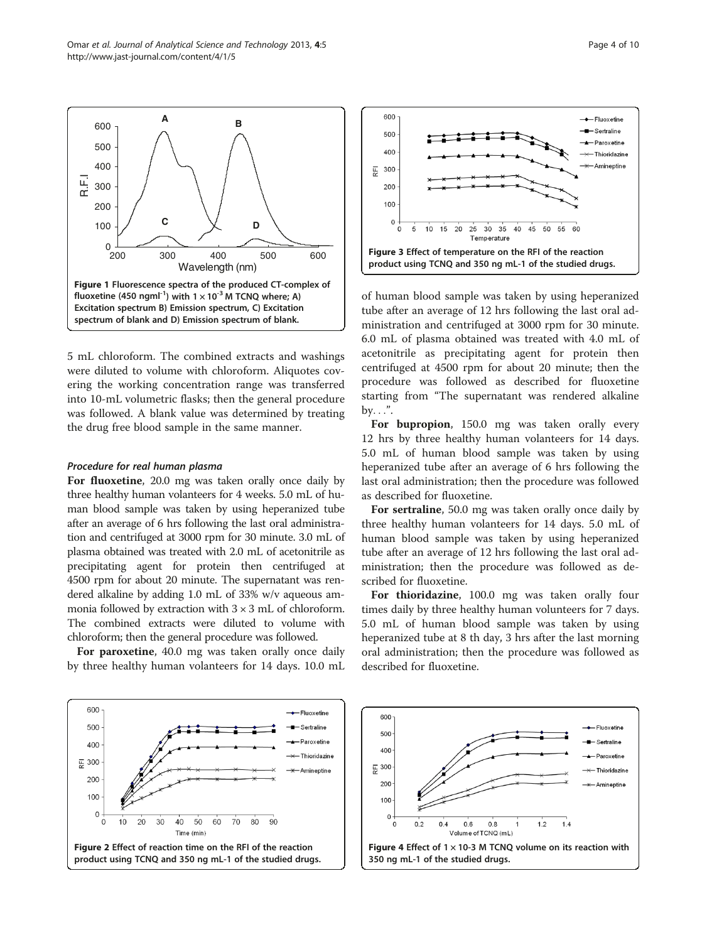5 mL chloroform. The combined extracts and washings were diluted to volume with chloroform. Aliquotes covering the working concentration range was transferred into 10-mL volumetric flasks; then the general procedure was followed. A blank value was determined by treating the drug free blood sample in the same manner.

#### Procedure for real human plasma

For fluoxetine, 20.0 mg was taken orally once daily by three healthy human volanteers for 4 weeks. 5.0 mL of human blood sample was taken by using heperanized tube after an average of 6 hrs following the last oral administration and centrifuged at 3000 rpm for 30 minute. 3.0 mL of plasma obtained was treated with 2.0 mL of acetonitrile as precipitating agent for protein then centrifuged at 4500 rpm for about 20 minute. The supernatant was rendered alkaline by adding 1.0 mL of 33% w/v aqueous ammonia followed by extraction with  $3 \times 3$  mL of chloroform. The combined extracts were diluted to volume with chloroform; then the general procedure was followed.

For paroxetine, 40.0 mg was taken orally once daily by three healthy human volanteers for 14 days. 10.0 mL

of human blood sample was taken by using heperanized tube after an average of 12 hrs following the last oral administration and centrifuged at 3000 rpm for 30 minute. 6.0 mL of plasma obtained was treated with 4.0 mL of acetonitrile as precipitating agent for protein then centrifuged at 4500 rpm for about 20 minute; then the procedure was followed as described for fluoxetine starting from "The supernatant was rendered alkaline by...".

> For bupropion, 150.0 mg was taken orally every 12 hrs by three healthy human volanteers for 14 days. 5.0 mL of human blood sample was taken by using heperanized tube after an average of 6 hrs following the last oral administration; then the procedure was followed as described for fluoxetine.

> For sertraline, 50.0 mg was taken orally once daily by three healthy human volanteers for 14 days. 5.0 mL of human blood sample was taken by using heperanized tube after an average of 12 hrs following the last oral administration; then the procedure was followed as described for fluoxetine.

> For thioridazine, 100.0 mg was taken orally four times daily by three healthy human volunteers for 7 days. 5.0 mL of human blood sample was taken by using heperanized tube at 8 th day, 3 hrs after the last morning oral administration; then the procedure was followed as described for fluoxetine.

<span id="page-3-0"></span>







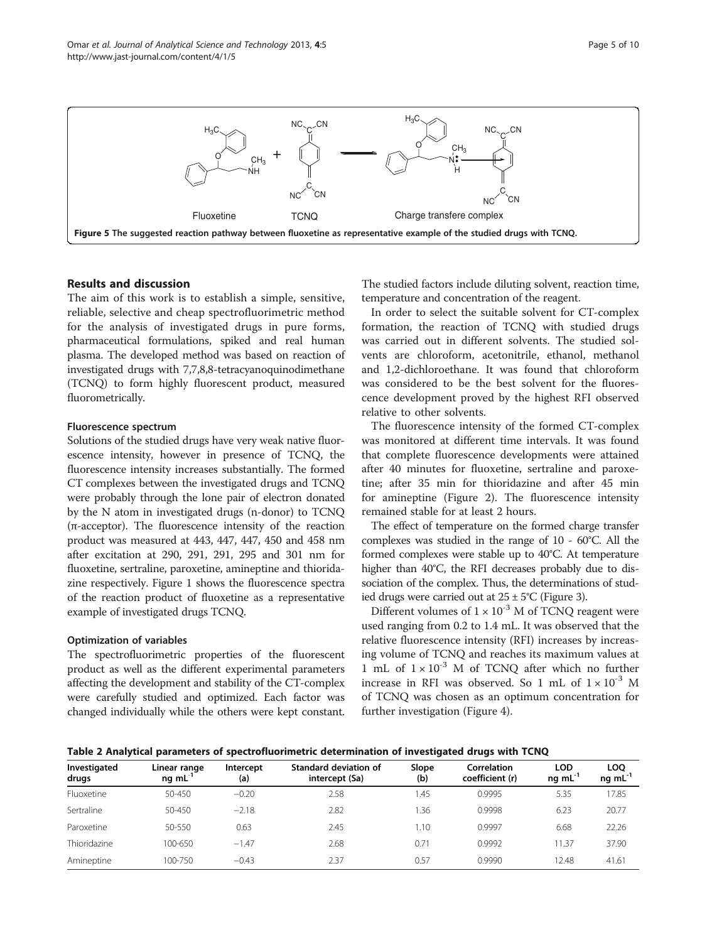<span id="page-4-0"></span>

## Results and discussion

The aim of this work is to establish a simple, sensitive, reliable, selective and cheap spectrofluorimetric method for the analysis of investigated drugs in pure forms, pharmaceutical formulations, spiked and real human plasma. The developed method was based on reaction of investigated drugs with 7,7,8,8-tetracyanoquinodimethane (TCNQ) to form highly fluorescent product, measured fluorometrically.

#### Fluorescence spectrum

Solutions of the studied drugs have very weak native fluorescence intensity, however in presence of TCNQ, the fluorescence intensity increases substantially. The formed CT complexes between the investigated drugs and TCNQ were probably through the lone pair of electron donated by the N atom in investigated drugs (n-donor) to TCNQ (π-acceptor). The fluorescence intensity of the reaction product was measured at 443, 447, 447, 450 and 458 nm after excitation at 290, 291, 291, 295 and 301 nm for fluoxetine, sertraline, paroxetine, amineptine and thioridazine respectively. Figure [1](#page-3-0) shows the fluorescence spectra of the reaction product of fluoxetine as a representative example of investigated drugs TCNQ.

#### Optimization of variables

The spectrofluorimetric properties of the fluorescent product as well as the different experimental parameters affecting the development and stability of the CT-complex were carefully studied and optimized. Each factor was changed individually while the others were kept constant. The studied factors include diluting solvent, reaction time, temperature and concentration of the reagent.

In order to select the suitable solvent for CT-complex formation, the reaction of TCNQ with studied drugs was carried out in different solvents. The studied solvents are chloroform, acetonitrile, ethanol, methanol and 1,2-dichloroethane. It was found that chloroform was considered to be the best solvent for the fluorescence development proved by the highest RFI observed relative to other solvents.

The fluorescence intensity of the formed CT-complex was monitored at different time intervals. It was found that complete fluorescence developments were attained after 40 minutes for fluoxetine, sertraline and paroxetine; after 35 min for thioridazine and after 45 min for amineptine (Figure [2\)](#page-3-0). The fluorescence intensity remained stable for at least 2 hours.

The effect of temperature on the formed charge transfer complexes was studied in the range of 10 - 60°C. All the formed complexes were stable up to 40°C. At temperature higher than 40°C, the RFI decreases probably due to dissociation of the complex. Thus, the determinations of studied drugs were carried out at  $25 \pm 5^{\circ}$ C (Figure [3](#page-3-0)).

Different volumes of  $1 \times 10^{-3}$  M of TCNQ reagent were used ranging from 0.2 to 1.4 mL. It was observed that the relative fluorescence intensity (RFI) increases by increasing volume of TCNQ and reaches its maximum values at 1 mL of  $1 \times 10^{-3}$  M of TCNQ after which no further increase in RFI was observed. So 1 mL of  $1 \times 10^{-3}$  M of TCNQ was chosen as an optimum concentration for further investigation (Figure [4\)](#page-3-0).

Table 2 Analytical parameters of spectrofluorimetric determination of investigated drugs with TCNQ

| Investigated<br>drugs | Linear range<br>ng m $L^{-1}$ | Intercept<br>(a) | Standard deviation of<br>intercept (Sa) | Slope<br>(b) | Correlation<br>coefficient (r) | <b>LOD</b><br>ng m $L^{-1}$ | LOO<br>$ng \, mL^{-1}$ |
|-----------------------|-------------------------------|------------------|-----------------------------------------|--------------|--------------------------------|-----------------------------|------------------------|
| Fluoxetine            | 50-450                        | $-0.20$          | 2.58                                    | 45. ا        | 0.9995                         | 5.35                        | 17.85                  |
| Sertraline            | 50-450                        | $-2.18$          | 2.82                                    | . 36         | 0.9998                         | 6.23                        | 20.77                  |
| Paroxetine            | 50-550                        | 0.63             | 2.45                                    | 1.10         | 0.9997                         | 6.68                        | 22.26                  |
| Thioridazine          | 100-650                       | $-1.47$          | 2.68                                    | 0.71         | 0.9992                         | 11.37                       | 37.90                  |
| Amineptine            | 100-750                       | $-0.43$          | 2.37                                    | 0.57         | 0.9990                         | 12.48                       | 41.61                  |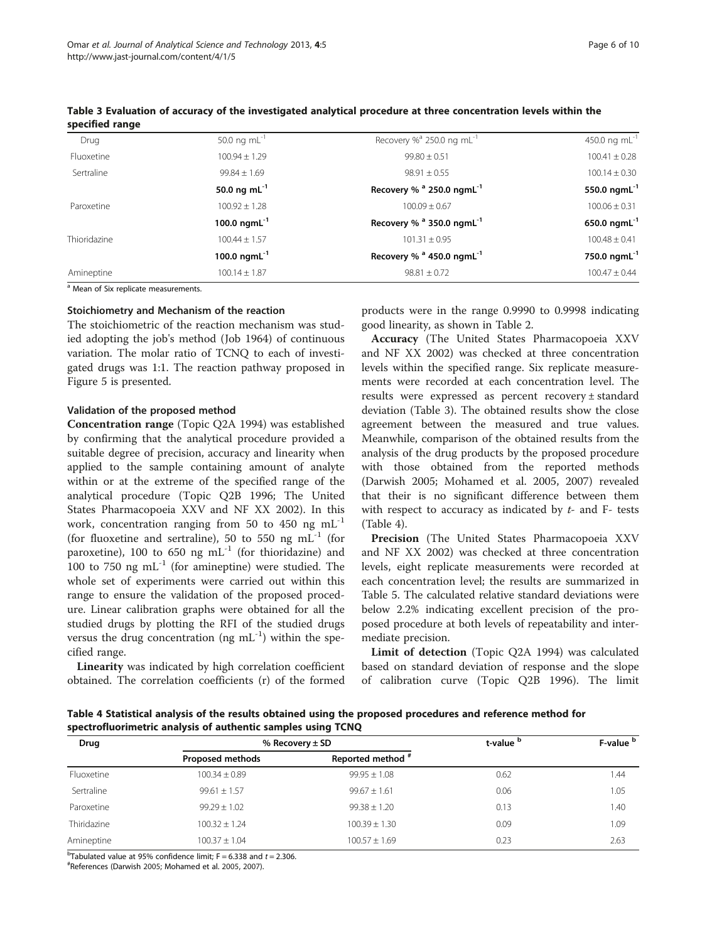| 50.0 ng m $L^{-1}$ | Recovery % <sup>a</sup> 250.0 ng mL <sup>-1</sup> | 450.0 ng m $L^{-1}$ |
|--------------------|---------------------------------------------------|---------------------|
| $100.94 \pm 1.29$  | $99.80 \pm 0.51$                                  | $100.41 \pm 0.28$   |
| $99.84 \pm 1.69$   | $98.91 \pm 0.55$                                  | $100.14 \pm 0.30$   |
| 50.0 ng m $L^{-1}$ | Recovery % $^a$ 250.0 ngmL <sup>-1</sup>          | 550.0 ngm $L^{-1}$  |
| $100.92 \pm 1.28$  | $100.09 \pm 0.67$                                 | $100.06 \pm 0.31$   |
| 100.0 ngm $L^{-1}$ | Recovery % $^a$ 350.0 ngmL <sup>-1</sup>          | 650.0 ngm $L^{-1}$  |
| $100.44 \pm 1.57$  | $101.31 \pm 0.95$                                 | $100.48 \pm 0.41$   |
| 100.0 ngm $L^{-1}$ | Recovery % $a$ 450.0 ngmL <sup>-1</sup>           | 750.0 ngm $L^{-1}$  |
| $100.14 \pm 1.87$  | $98.81 \pm 0.72$                                  | $100.47 \pm 0.44$   |
|                    |                                                   |                     |

Table 3 Evaluation of accuracy of the investigated analytical procedure at three concentration levels within the specified range

<sup>a</sup> Mean of Six replicate measurements.

#### Stoichiometry and Mechanism of the reaction

The stoichiometric of the reaction mechanism was studied adopting the job's method (Job [1964](#page-8-0)) of continuous variation. The molar ratio of TCNQ to each of investigated drugs was 1:1. The reaction pathway proposed in Figure [5](#page-4-0) is presented.

#### Validation of the proposed method

Concentration range (Topic Q2A [1994\)](#page-9-0) was established by confirming that the analytical procedure provided a suitable degree of precision, accuracy and linearity when applied to the sample containing amount of analyte within or at the extreme of the specified range of the analytical procedure (Topic Q2B [1996](#page-9-0); The United States Pharmacopoeia XXV and NF XX [2002](#page-9-0)). In this work, concentration ranging from 50 to 450 ng  $mL^{-1}$ (for fluoxetine and sertraline), 50 to 550 ng  $mL^{-1}$  (for paroxetine), 100 to 650 ng  $mL^{-1}$  (for thioridazine) and 100 to 750 ng  $mL^{-1}$  (for amineptine) were studied. The whole set of experiments were carried out within this range to ensure the validation of the proposed procedure. Linear calibration graphs were obtained for all the studied drugs by plotting the RFI of the studied drugs versus the drug concentration (ng  $mL^{-1}$ ) within the specified range.

Linearity was indicated by high correlation coefficient obtained. The correlation coefficients (r) of the formed

products were in the range 0.9990 to 0.9998 indicating good linearity, as shown in Table [2.](#page-4-0)

Accuracy (The United States Pharmacopoeia XXV and NF XX [2002](#page-9-0)) was checked at three concentration levels within the specified range. Six replicate measurements were recorded at each concentration level. The results were expressed as percent recovery ± standard deviation (Table 3). The obtained results show the close agreement between the measured and true values. Meanwhile, comparison of the obtained results from the analysis of the drug products by the proposed procedure with those obtained from the reported methods (Darwish [2005;](#page-8-0) Mohamed et al. [2005, 2007](#page-8-0)) revealed that their is no significant difference between them with respect to accuracy as indicated by  $t$ - and  $F$ - tests (Table 4).

Precision (The United States Pharmacopoeia XXV and NF XX [2002](#page-9-0)) was checked at three concentration levels, eight replicate measurements were recorded at each concentration level; the results are summarized in Table [5.](#page-6-0) The calculated relative standard deviations were below 2.2% indicating excellent precision of the proposed procedure at both levels of repeatability and intermediate precision.

Limit of detection (Topic Q2A [1994\)](#page-9-0) was calculated based on standard deviation of response and the slope of calibration curve (Topic Q2B [1996\)](#page-9-0). The limit

Table 4 Statistical analysis of the results obtained using the proposed procedures and reference method for spectrofluorimetric analysis of authentic samples using TCNQ

| Drug        |                         | % Recovery $\pm$ SD | t-value <sup>b</sup> |      |
|-------------|-------------------------|---------------------|----------------------|------|
|             | <b>Proposed methods</b> | Reported method #   |                      |      |
| Fluoxetine  | $100.34 \pm 0.89$       | $99.95 \pm 1.08$    | 0.62                 | 1.44 |
| Sertraline  | $99.61 + 1.57$          | $99.67 + 1.61$      | 0.06                 | 1.05 |
| Paroxetine  | $99.29 + 1.02$          | $99.38 \pm 1.20$    | 0.13                 | 1.40 |
| Thiridazine | $100.32 + 1.24$         | $100.39 + 1.30$     | 0.09                 | 1.09 |
| Amineptine  | $100.37 \pm 1.04$       | $100.57 \pm 1.69$   | 0.23                 | 2.63 |

 $b$ Tabulated value at 95% confidence limit;  $F = 6.338$  and  $t = 2.306$ .<br>  $\frac{F}{2}$ Peferences (Darwish 2005; Mohamed et al. 2005, 2007)

References (Darwish [2005](#page-8-0); Mohamed et al. [2005](#page-8-0), [2007](#page-8-0)).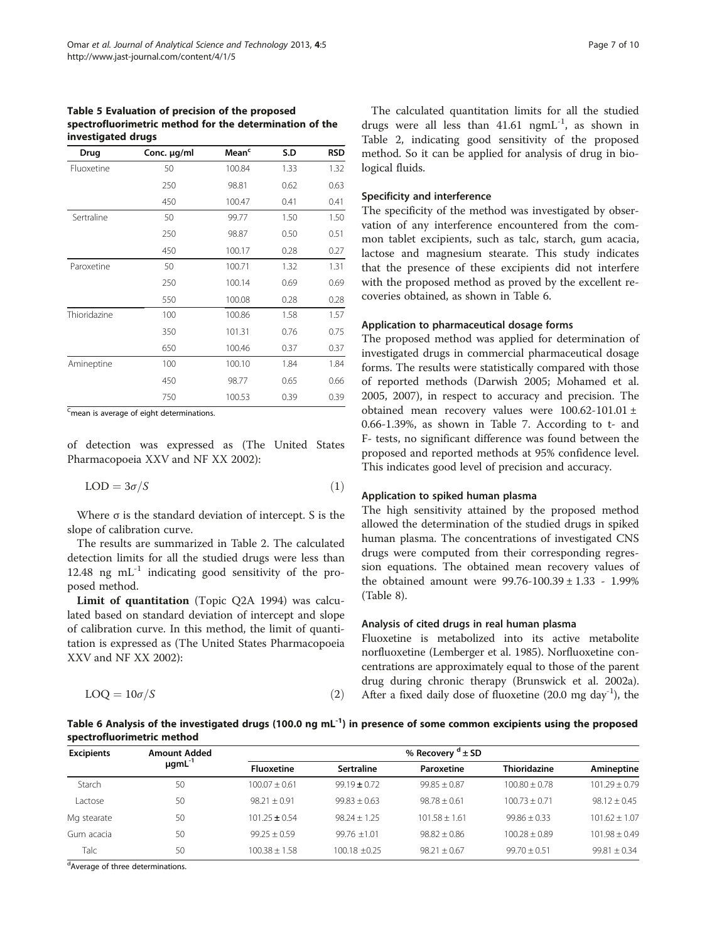## <span id="page-6-0"></span>Table 5 Evaluation of precision of the proposed spectrofluorimetric method for the determination of the investigated drugs

| Drug         | Conc. µg/ml | Mean <sup>c</sup> | S.D  | <b>RSD</b> |
|--------------|-------------|-------------------|------|------------|
| Fluoxetine   | 50          | 100.84            | 1.33 | 1.32       |
|              | 250         | 98.81             | 0.62 | 0.63       |
|              | 450         | 100.47            | 0.41 | 0.41       |
| Sertraline   | 50          | 99.77             | 1.50 | 1.50       |
|              | 250         | 98.87             | 0.50 | 0.51       |
|              | 450         | 100.17            | 0.28 | 0.27       |
| Paroxetine   | 50          | 100.71            | 1.32 | 1.31       |
|              | 250         | 100.14            | 0.69 | 0.69       |
|              | 550         | 100.08            | 0.28 | 0.28       |
| Thioridazine | 100         | 100.86            | 1.58 | 1.57       |
|              | 350         | 101.31            | 0.76 | 0.75       |
|              | 650         | 100.46            | 0.37 | 0.37       |
| Amineptine   | 100         | 100.10            | 1.84 | 1.84       |
|              | 450         | 98.77             | 0.65 | 0.66       |
|              | 750         | 100.53            | 0.39 | 0.39       |

<sup>C</sup>mean is average of eight determinations.

of detection was expressed as (The United States Pharmacopoeia XXV and NF XX [2002](#page-9-0)):

$$
LOD = 3\sigma/S \tag{1}
$$

Where  $\sigma$  is the standard deviation of intercept. S is the slope of calibration curve.

The results are summarized in Table [2.](#page-4-0) The calculated detection limits for all the studied drugs were less than 12.48 ng  $mL^{-1}$  indicating good sensitivity of the proposed method.

Limit of quantitation (Topic Q2A [1994\)](#page-9-0) was calculated based on standard deviation of intercept and slope of calibration curve. In this method, the limit of quantitation is expressed as (The United States Pharmacopoeia XXV and NF XX [2002\)](#page-9-0):

$$
LOQ = 10\sigma/S \tag{2}
$$

The calculated quantitation limits for all the studied drugs were all less than  $41.61$  ngmL<sup>-1</sup>, as shown in Table [2](#page-4-0), indicating good sensitivity of the proposed method. So it can be applied for analysis of drug in biological fluids.

#### Specificity and interference

The specificity of the method was investigated by observation of any interference encountered from the common tablet excipients, such as talc, starch, gum acacia, lactose and magnesium stearate. This study indicates that the presence of these excipients did not interfere with the proposed method as proved by the excellent recoveries obtained, as shown in Table 6.

## Application to pharmaceutical dosage forms

The proposed method was applied for determination of investigated drugs in commercial pharmaceutical dosage forms. The results were statistically compared with those of reported methods (Darwish [2005](#page-8-0); Mohamed et al. [2005](#page-8-0), [2007\)](#page-8-0), in respect to accuracy and precision. The obtained mean recovery values were 100.62-101.01 ± 0.66-1.39%, as shown in Table [7.](#page-7-0) According to t- and F- tests, no significant difference was found between the proposed and reported methods at 95% confidence level. This indicates good level of precision and accuracy.

#### Application to spiked human plasma

The high sensitivity attained by the proposed method allowed the determination of the studied drugs in spiked human plasma. The concentrations of investigated CNS drugs were computed from their corresponding regression equations. The obtained mean recovery values of the obtained amount were  $99.76 - 100.39 \pm 1.33 - 1.99\%$ (Table [8\)](#page-7-0).

#### Analysis of cited drugs in real human plasma

Fluoxetine is metabolized into its active metabolite norfluoxetine (Lemberger et al. [1985](#page-8-0)). Norfluoxetine concentrations are approximately equal to those of the parent drug during chronic therapy (Brunswick et al. [2002a](#page-8-0)). After a fixed daily dose of fluoxetine  $(20.0 \text{ mg day}^{-1})$ , the

Table 6 Analysis of the investigated drugs (100.0 ng mL<sup>-1</sup>) in presence of some common excipients using the proposed spectrofluorimetric method

| <b>Excipients</b> | <b>Amount Added</b>     | % Recovery $d \pm SD$ |                   |                 |                  |                   |
|-------------------|-------------------------|-----------------------|-------------------|-----------------|------------------|-------------------|
|                   | $\mu$ gmL <sup>-1</sup> | <b>Fluoxetine</b>     | <b>Sertraline</b> | Paroxetine      | Thioridazine     | Amineptine        |
| Starch            | 50                      | $100.07 \pm 0.61$     | $99.19 \pm 0.72$  | $99.85 + 0.87$  | $100.80 + 0.78$  | $101.29 + 0.79$   |
| Lactose           | 50                      | $98.21 + 0.91$        | $99.83 + 0.63$    | $98.78 + 0.61$  | $100.73 + 0.71$  | $98.12 + 0.45$    |
| Mg stearate       | 50                      | $101.25 \pm 0.54$     | $98.24 + 1.25$    | $101.58 + 1.61$ | $99.86 + 0.33$   | $101.62 + 1.07$   |
| Gum acacia        | 50                      | $99.25 + 0.59$        | $99.76 + 1.01$    | $98.82 + 0.86$  | $100.28 + 0.89$  | $101.98 \pm 0.49$ |
| Talc              | 50                      | $100.38 \pm 1.58$     | $100.18 + 0.25$   | $98.21 + 0.67$  | $99.70 \pm 0.51$ | $99.81 + 0.34$    |

<sup>d</sup>Average of three determinations.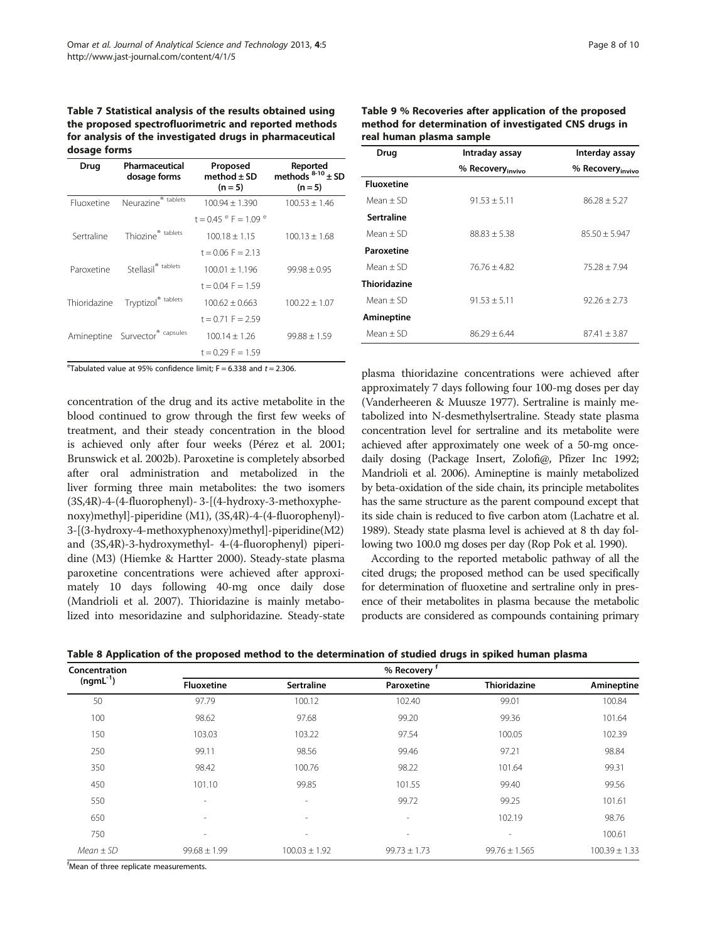<span id="page-7-0"></span>Table 7 Statistical analysis of the results obtained using the proposed spectrofluorimetric and reported methods for analysis of the investigated drugs in pharmaceutical dosage forms

| Drug         | Pharmaceutical<br>dosage forms | Proposed<br>method $\pm$ SD<br>$(n = 5)$ | Reported<br>methods $8-10 \pm SD$<br>$(n = 5)$ |
|--------------|--------------------------------|------------------------------------------|------------------------------------------------|
| Fluoxetine   | tablets<br>Neurazine           | $100.94 + 1.390$                         | $100.53 \pm 1.46$                              |
|              |                                | $t = 0.45$ $\degree$ F = 1.09 $\degree$  |                                                |
| Sertraline   | Thiozine <sup>®</sup> tablets  | $100.18 + 1.15$                          | $100.13 + 1.68$                                |
|              |                                | $t = 0.06$ F = 2.13                      |                                                |
| Paroxetine   | Stellasil® tablets             | $100.01 + 1.196$                         | $99.98 + 0.95$                                 |
|              |                                | $t = 0.04$ F = 1.59                      |                                                |
| Thioridazine | Tryptizol <sup>®</sup> tablets | $100.62 + 0.663$                         | $100.22 + 1.07$                                |
|              |                                | $t = 0.71$ F = 2.59                      |                                                |
|              | Amineptine Survector® capsules | $100.14 + 1.26$                          | $99.88 + 1.59$                                 |
|              |                                | $t = 0.29$ F = 1.59                      |                                                |

<sup>e</sup>Tabulated value at 95% confidence limit;  $F = 6.338$  and  $t = 2.306$ .

concentration of the drug and its active metabolite in the blood continued to grow through the first few weeks of treatment, and their steady concentration in the blood is achieved only after four weeks (Pérez et al. [2001](#page-9-0); Brunswick et al. [2002b\)](#page-8-0). Paroxetine is completely absorbed after oral administration and metabolized in the liver forming three main metabolites: the two isomers (3S,4R)-4-(4-fluorophenyl)- 3-[(4-hydroxy-3-methoxyphenoxy)methyl]-piperidine (M1), (3S,4R)-4-(4-fluorophenyl)- 3-[(3-hydroxy-4-methoxyphenoxy)methyl]-piperidine(M2) and (3S,4R)-3-hydroxymethyl- 4-(4-fluorophenyl) piperidine (M3) (Hiemke & Hartter [2000](#page-8-0)). Steady-state plasma paroxetine concentrations were achieved after approximately 10 days following 40-mg once daily dose (Mandrioli et al. [2007](#page-8-0)). Thioridazine is mainly metabolized into mesoridazine and sulphoridazine. Steady-state

| Table 9 % Recoveries after application of the proposed |  |
|--------------------------------------------------------|--|
| method for determination of investigated CNS drugs in  |  |
| real human plasma sample                               |  |

| Drug              | Intraday assay<br>Interday assay |                              |
|-------------------|----------------------------------|------------------------------|
|                   | % Recovery <sub>invivo</sub>     | % Recovery <sub>invivo</sub> |
| <b>Fluoxetine</b> |                                  |                              |
| $Mean + SD$       | $91.53 + 5.11$                   | $86.28 \pm 5.27$             |
| Sertraline        |                                  |                              |
| $Mean + SD$       | $88.83 + 5.38$                   | $85.50 \pm 5.947$            |
| Paroxetine        |                                  |                              |
| $Mean + SD$       | $7676 + 482$                     | $75.28 + 7.94$               |
| Thioridazine      |                                  |                              |
| $Mean + SD$       | $91.53 + 5.11$                   | $92.26 + 2.73$               |
| Amineptine        |                                  |                              |
| $Mean + SD$       | $86.29 + 6.44$                   | $87.41 \pm 3.87$             |

plasma thioridazine concentrations were achieved after approximately 7 days following four 100-mg doses per day (Vanderheeren & Muusze [1977](#page-9-0)). Sertraline is mainly metabolized into N-desmethylsertraline. Steady state plasma concentration level for sertraline and its metabolite were achieved after approximately one week of a 50-mg oncedaily dosing (Package Insert, Zolofi@, Pfizer Inc [1992](#page-9-0); Mandrioli et al. [2006\)](#page-8-0). Amineptine is mainly metabolized by beta-oxidation of the side chain, its principle metabolites has the same structure as the parent compound except that its side chain is reduced to five carbon atom (Lachatre et al. [1989\)](#page-8-0). Steady state plasma level is achieved at 8 th day following two 100.0 mg doses per day (Rop Pok et al. [1990\)](#page-9-0).

According to the reported metabolic pathway of all the cited drugs; the proposed method can be used specifically for determination of fluoxetine and sertraline only in presence of their metabolites in plasma because the metabolic products are considered as compounds containing primary

Table 8 Application of the proposed method to the determination of studied drugs in spiked human plasma

| Concentration |                          |                          | % Recovery f             |                          |                   |
|---------------|--------------------------|--------------------------|--------------------------|--------------------------|-------------------|
| $(ngmL^{-1})$ | Fluoxetine               | Sertraline               | Paroxetine               | <b>Thioridazine</b>      | Amineptine        |
| 50            | 97.79                    | 100.12                   | 102.40                   | 99.01                    | 100.84            |
| 100           | 98.62                    | 97.68                    | 99.20                    | 99.36                    | 101.64            |
| 150           | 103.03                   | 103.22                   | 97.54                    | 100.05                   | 102.39            |
| 250           | 99.11                    | 98.56                    | 99.46                    | 97.21                    | 98.84             |
| 350           | 98.42                    | 100.76                   | 98.22                    | 101.64                   | 99.31             |
| 450           | 101.10                   | 99.85                    | 101.55                   | 99.40                    | 99.56             |
| 550           | $\overline{\phantom{a}}$ | $\overline{\phantom{a}}$ | 99.72                    | 99.25                    | 101.61            |
| 650           | $\overline{\phantom{a}}$ | $\sim$                   | $\overline{\phantom{a}}$ | 102.19                   | 98.76             |
| 750           |                          |                          | ۰                        | $\overline{\phantom{a}}$ | 100.61            |
| $Mean \pm SD$ | $99.68 \pm 1.99$         | $100.03 \pm 1.92$        | $99.73 \pm 1.73$         | $99.76 \pm 1.565$        | $100.39 \pm 1.33$ |

f Mean of three replicate measurements.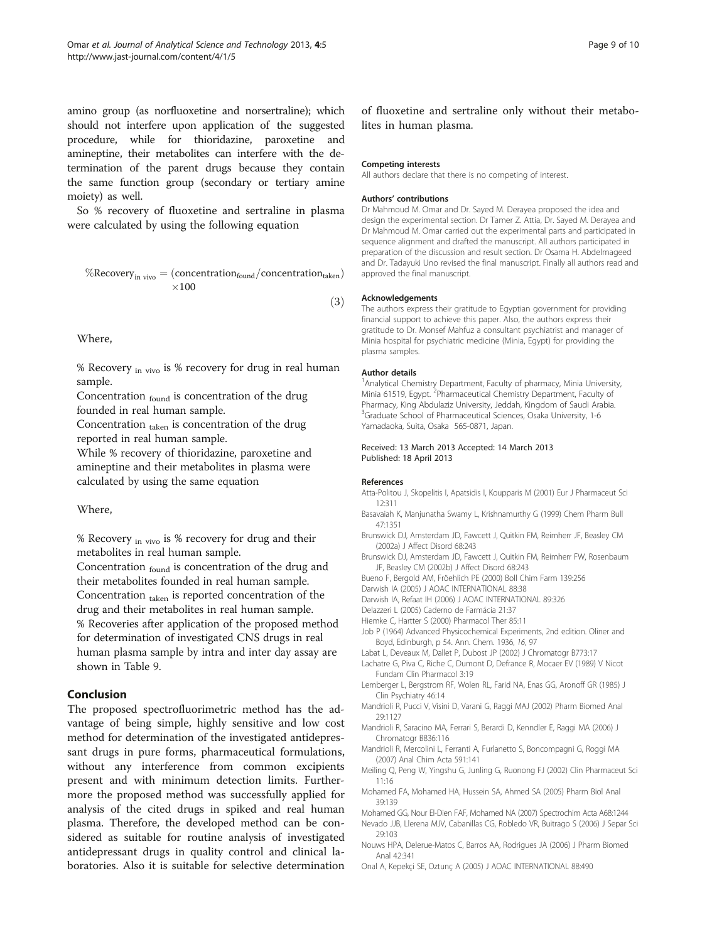<span id="page-8-0"></span>amino group (as norfluoxetine and norsertraline); which should not interfere upon application of the suggested procedure, while for thioridazine, paroxetine and amineptine, their metabolites can interfere with the determination of the parent drugs because they contain the same function group (secondary or tertiary amine moiety) as well.

So % recovery of fluoxetine and sertraline in plasma were calculated by using the following equation

$$
\% \text{Recovery}_{\text{in vivo}} = (\text{concentration}_{\text{found}} / \text{concentration}_{\text{taken}})
$$
  
×100 (3)

Where,

% Recovery in vivo is % recovery for drug in real human sample.

Concentration  $_{\text{found}}$  is concentration of the drug founded in real human sample.

Concentration  $_{\text{taken}}$  is concentration of the drug reported in real human sample.

While % recovery of thioridazine, paroxetine and amineptine and their metabolites in plasma were calculated by using the same equation

Where,

% Recovery <sub>in vivo</sub> is % recovery for drug and their metabolites in real human sample.

Concentration found is concentration of the drug and their metabolites founded in real human sample. Concentration  $t_{\text{aken}}$  is reported concentration of the drug and their metabolites in real human sample. % Recoveries after application of the proposed method for determination of investigated CNS drugs in real human plasma sample by intra and inter day assay are shown in Table [9.](#page-7-0)

## Conclusion

The proposed spectrofluorimetric method has the advantage of being simple, highly sensitive and low cost method for determination of the investigated antidepressant drugs in pure forms, pharmaceutical formulations, without any interference from common excipients present and with minimum detection limits. Furthermore the proposed method was successfully applied for analysis of the cited drugs in spiked and real human plasma. Therefore, the developed method can be considered as suitable for routine analysis of investigated antidepressant drugs in quality control and clinical laboratories. Also it is suitable for selective determination

of fluoxetine and sertraline only without their metabolites in human plasma.

#### Competing interests

All authors declare that there is no competing of interest.

#### Authors' contributions

Dr Mahmoud M. Omar and Dr. Sayed M. Derayea proposed the idea and design the experimental section. Dr Tamer Z. Attia, Dr. Sayed M. Derayea and Dr Mahmoud M. Omar carried out the experimental parts and participated in sequence alignment and drafted the manuscript. All authors participated in preparation of the discussion and result section. Dr Osama H. Abdelmageed and Dr. Tadayuki Uno revised the final manuscript. Finally all authors read and approved the final manuscript.

#### Acknowledgements

The authors express their gratitude to Egyptian government for providing financial support to achieve this paper. Also, the authors express their gratitude to Dr. Monsef Mahfuz a consultant psychiatrist and manager of Minia hospital for psychiatric medicine (Minia, Egypt) for providing the plasma samples.

#### Author details

<sup>1</sup> Analytical Chemistry Department, Faculty of pharmacy, Minia University, Minia 61519, Egypt. <sup>2</sup>Pharmaceutical Chemistry Department, Faculty of Pharmacy, King Abdulaziz University, Jeddah, Kingdom of Saudi Arabia. <sup>3</sup>Graduate School of Pharmaceutical Sciences, Osaka University, 1-6 Yamadaoka, Suita, Osaka 565-0871, Japan.

#### Received: 13 March 2013 Accepted: 14 March 2013 Published: 18 April 2013

#### References

- Atta-Politou J, Skopelitis I, Apatsidis I, Koupparis M (2001) Eur J Pharmaceut Sci 12:311
- Basavaiah K, Manjunatha Swamy L, Krishnamurthy G (1999) Chem Pharm Bull 47:1351
- Brunswick DJ, Amsterdam JD, Fawcett J, Quitkin FM, Reimherr JF, Beasley CM (2002a) J Affect Disord 68:243
- Brunswick DJ, Amsterdam JD, Fawcett J, Quitkin FM, Reimherr FW, Rosenbaum JF, Beasley CM (2002b) J Affect Disord 68:243
- Bueno F, Bergold AM, Fröehlich PE (2000) Boll Chim Farm 139:256
- Darwish IA (2005) J AOAC INTERNATIONAL 88:38
- Darwish IA, Refaat IH (2006) J AOAC INTERNATIONAL 89:326

Delazzeri L (2005) Caderno de Farmácia 21:37

- Hiemke C, Hartter S (2000) Pharmacol Ther 85:11
- Job P (1964) Advanced Physicochemical Experiments, 2nd edition. Oliner and Boyd, Edinburgh, p 54. Ann. Chem. 1936, 16, 97
- Labat L, Deveaux M, Dallet P, Dubost JP (2002) J Chromatogr B773:17
- Lachatre G, Piva C, Riche C, Dumont D, Defrance R, Mocaer EV (1989) V Nicot Fundam Clin Pharmacol 3:19
- Lemberger L, Bergstrom RF, Wolen RL, Farid NA, Enas GG, Aronoff GR (1985) J Clin Psychiatry 46:14
- Mandrioli R, Pucci V, Visini D, Varani G, Raggi MAJ (2002) Pharm Biomed Anal 29:1127
- Mandrioli R, Saracino MA, Ferrari S, Berardi D, Kenndler E, Raggi MA (2006) J Chromatogr B836:116
- Mandrioli R, Mercolini L, Ferranti A, Furlanetto S, Boncompagni G, Roggi MA (2007) Anal Chim Acta 591:141
- Meiling Q, Peng W, Yingshu G, Junling G, Ruonong FJ (2002) Clin Pharmaceut Sci 11:16
- Mohamed FA, Mohamed HA, Hussein SA, Ahmed SA (2005) Pharm Biol Anal 39:139
- Mohamed GG, Nour El-Dien FAF, Mohamed NA (2007) Spectrochim Acta A68:1244
- Nevado JJB, Llerena MJV, Cabanillas CG, Robledo VR, Buitrago S (2006) J Separ Sci 29:103
- Nouws HPA, Delerue-Matos C, Barros AA, Rodrigues JA (2006) J Pharm Biomed Anal 42:341
- Onal A, Kepekçi SE, Oztunç A (2005) J AOAC INTERNATIONAL 88:490